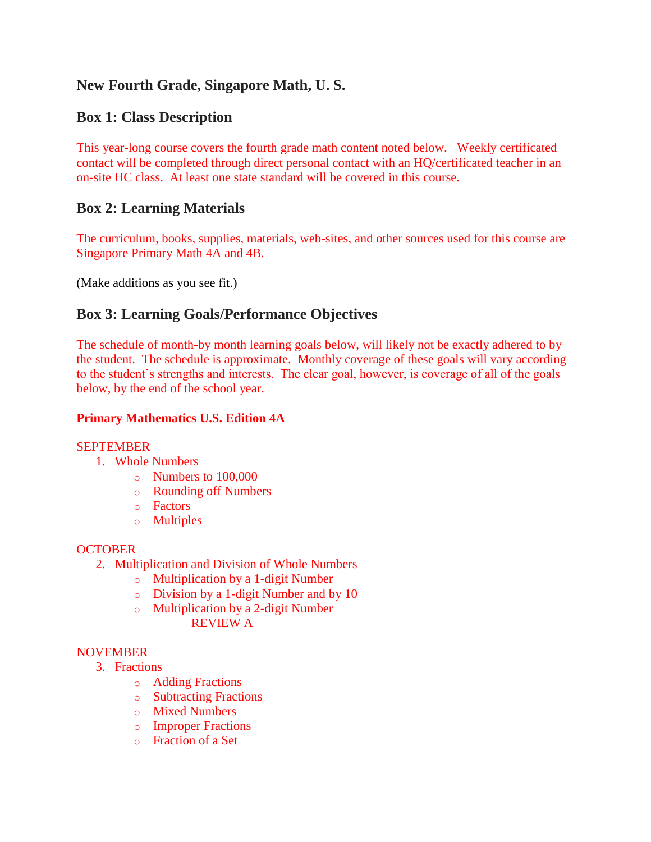# **New Fourth Grade, Singapore Math, U. S.**

# **Box 1: Class Description**

This year-long course covers the fourth grade math content noted below. Weekly certificated contact will be completed through direct personal contact with an HQ/certificated teacher in an on-site HC class. At least one state standard will be covered in this course.

# **Box 2: Learning Materials**

The curriculum, books, supplies, materials, web-sites, and other sources used for this course are Singapore Primary Math 4A and 4B.

(Make additions as you see fit.)

# **Box 3: Learning Goals/Performance Objectives**

The schedule of month-by month learning goals below, will likely not be exactly adhered to by the student. The schedule is approximate. Monthly coverage of these goals will vary according to the student's strengths and interests. The clear goal, however, is coverage of all of the goals below, by the end of the school year.

# **Primary Mathematics U.S. Edition 4A**

# **SEPTEMBER**

- 1. Whole Numbers
	- o Numbers to 100,000
	- o Rounding off Numbers
	- o Factors
	- o Multiples

# **OCTOBER**

- 2. Multiplication and Division of Whole Numbers
	- o Multiplication by a 1-digit Number
	- o Division by a 1-digit Number and by 10
	- o Multiplication by a 2-digit Number

REVIEW A

# **NOVEMBER**

- 3. Fractions
	- o Adding Fractions
	- o Subtracting Fractions
	- o Mixed Numbers
	- o Improper Fractions
	- o Fraction of a Set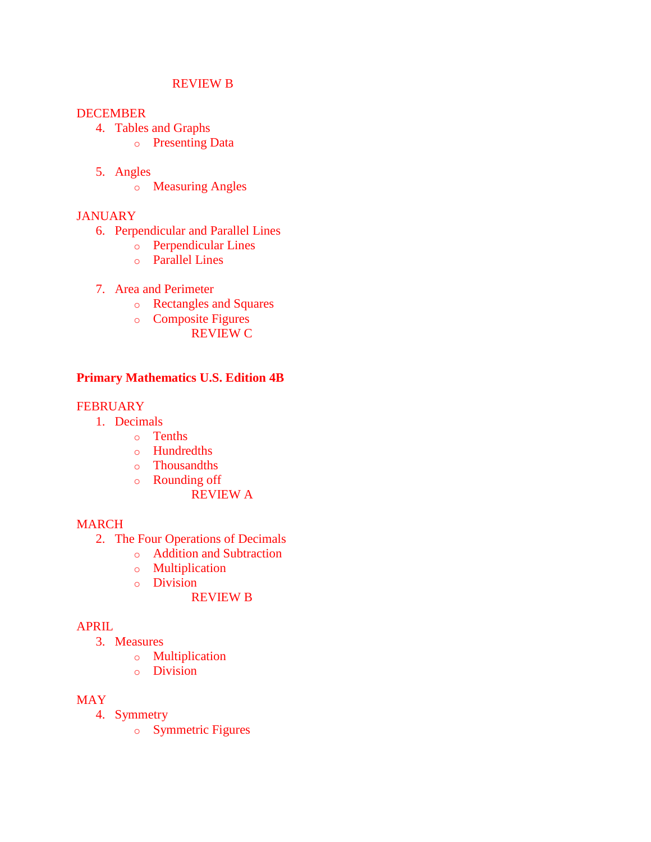#### REVIEW B

#### DECEMBER

- 4. Tables and Graphs
	- o Presenting Data
- 5. Angles
	- o Measuring Angles

### **JANUARY**

- 6. Perpendicular and Parallel Lines
	- o Perpendicular Lines
	- o Parallel Lines
- 7. Area and Perimeter
	- o Rectangles and Squares
	- o Composite Figures REVIEW C

## **Primary Mathematics U.S. Edition 4B**

## **FEBRUARY**

- 1. Decimals
	- o Tenths
	- o Hundredths
	- o Thousandths
	- o Rounding off

REVIEW A

### MARCH

- 2. The Four Operations of Decimals
	- o Addition and Subtraction
	- o Multiplication
	- o Division

REVIEW B

### APRIL

- 3. Measures
	- o Multiplication
	- o Division

### MAY

- 4. Symmetry
	- o Symmetric Figures